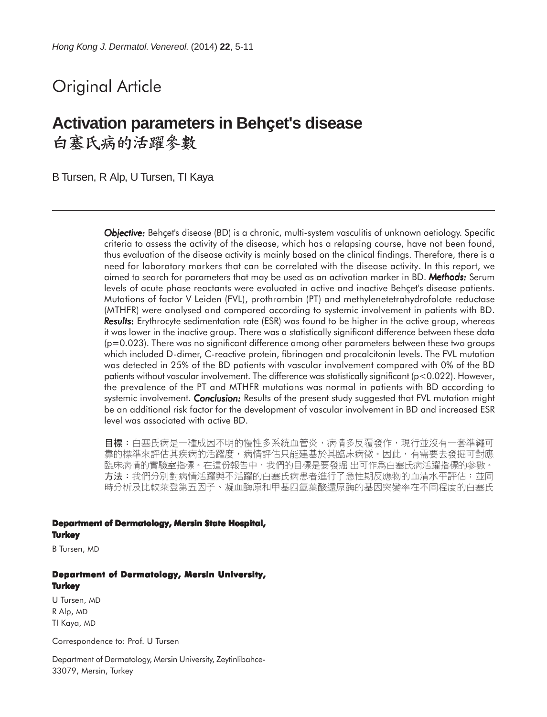# Original Article

## **Activation parameters in Behçet's disease** 白塞氏病的活躍參數

B Tursen, R Alp, U Tursen, TI Kaya

*Objective: Objective:* Behçet's disease (BD) is a chronic, multi-system vasculitis of unknown aetiology. Specific criteria to assess the activity of the disease, which has a relapsing course, have not been found, thus evaluation of the disease activity is mainly based on the clinical findings. Therefore, there is a need for laboratory markers that can be correlated with the disease activity. In this report, we aimed to search for parameters that may be used as an activation marker in BD. *Methods:* Serum levels of acute phase reactants were evaluated in active and inactive Behçet's disease patients. Mutations of factor V Leiden (FVL), prothrombin (PT) and methylenetetrahydrofolate reductase (MTHFR) were analysed and compared according to systemic involvement in patients with BD. **Results:** Erythrocyte sedimentation rate (ESR) was found to be higher in the active group, whereas it was lower in the inactive group. There was a statistically significant difference between these data (p=0.023). There was no significant difference among other parameters between these two groups which included D-dimer, C-reactive protein, fibrinogen and procalcitonin levels. The FVL mutation was detected in 25% of the BD patients with vascular involvement compared with 0% of the BD patients without vascular involvement. The difference was statistically significant (p<0.022). However, the prevalence of the PT and MTHFR mutations was normal in patients with BD according to systemic involvement. *Conclusion:* Results of the present study suggested that FVL mutation might be an additional risk factor for the development of vascular involvement in BD and increased ESR level was associated with active BD.

目標:白塞氏病是一種成因不明的慢性多系統血管炎,病情多反覆發作,現行並沒有一套準繩可 靠的標準來評估其疾病的活躍度,病情評估只能建基於其臨床病徵。因此,有需要去發掘可對應 臨床病情的實驗室指標。在這份報告中,我們的目標是要發掘 出可作爲白塞氏病活躍指標的參數。 方法:我們分別對病情活躍與不活躍的白塞氏病患者進行了急性期反應物的血清水平評估;並同 時分析及比較萊登第五因子、凝血酶原和甲基四氫葉酸還原酶的基因突變率在不同程度的白塞氏

#### **Department of Dermatology, Mersin State Hospital, Turkey**

B Tursen, MD

## **Department of Dermatology, Mersin University, Turkey**

U Tursen, MD R Alp, MD TI Kaya, MD

Correspondence to: Prof. U Tursen

Department of Dermatology, Mersin University, Zeytinlibahce-33079, Mersin, Turkey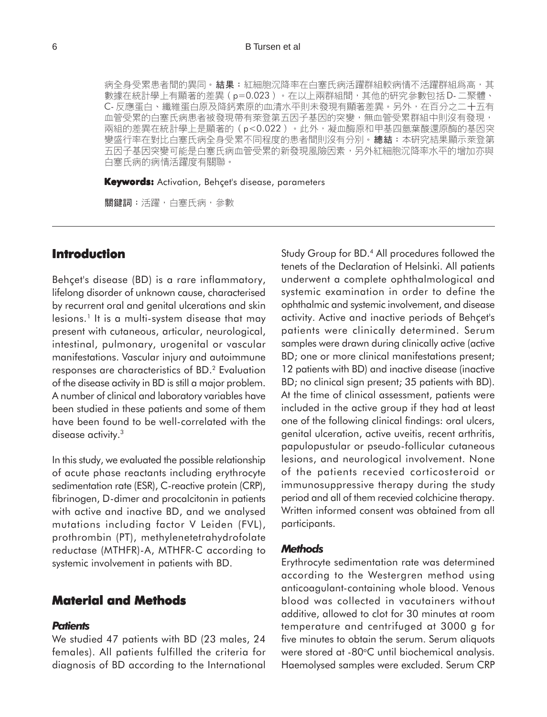#### 6 B Tursen et al

病全身受累患者間的異同。結果:紅細胞沉降率在白塞氏病活躍群組較病情不活躍群組爲高,其 數據在統計學上有顯著的差異 (p=0.023) 。在以上兩群組間,其他的研究參數包括D-二聚體、 C- 反應蛋白、纖維蛋白原及降鈣素原的血清水平則未發現有顯著差異。另外,在百分之二十五有 血管受累的白塞氏病患者被發現帶有萊登第五因子基因的突變,無血管受累群組中則沒有發現, 兩組的差異在統計學上是顯著的 (p<0.022) · 此外, 凝血酶原和甲基四氫葉酸還原酶的基因突 變盛行率在對比白塞氏病全身受累不同程度的患者間則沒有分別。總結:本研究結果顯示萊登第 五因子基因突變可能是白塞氏病血管受累的新發現風險因素,另外紅細胞沉降率水平的增加亦與 白塞氏病的病情活躍度有關聯。

**Keywords:** Activation, Behçet's disease, parameters

關鍵詞:活躍,白塞氏病,參數

## **Introduction**

Behçet's disease (BD) is a rare inflammatory, lifelong disorder of unknown cause, characterised by recurrent oral and genital ulcerations and skin lesions.<sup>1</sup> It is a multi-system disease that may present with cutaneous, articular, neurological, intestinal, pulmonary, urogenital or vascular manifestations. Vascular injury and autoimmune responses are characteristics of BD.2 Evaluation of the disease activity in BD is still a major problem. A number of clinical and laboratory variables have been studied in these patients and some of them have been found to be well-correlated with the disease activity.<sup>3</sup>

In this study, we evaluated the possible relationship of acute phase reactants including erythrocyte sedimentation rate (ESR), C-reactive protein (CRP), fibrinogen, D-dimer and procalcitonin in patients with active and inactive BD, and we analysed mutations including factor V Leiden (FVL), prothrombin (PT), methylenetetrahydrofolate reductase (MTHFR)-A, MTHFR-C according to systemic involvement in patients with BD.

### **Material and Methods**

#### *Patients*

We studied 47 patients with BD (23 males, 24 females). All patients fulfilled the criteria for diagnosis of BD according to the International Study Group for BD.4 All procedures followed the tenets of the Declaration of Helsinki. All patients underwent a complete ophthalmological and systemic examination in order to define the ophthalmic and systemic involvement, and disease activity. Active and inactive periods of Behçet's patients were clinically determined. Serum samples were drawn during clinically active (active BD; one or more clinical manifestations present; 12 patients with BD) and inactive disease (inactive BD; no clinical sign present; 35 patients with BD). At the time of clinical assessment, patients were included in the active group if they had at least one of the following clinical findings: oral ulcers, genital ulceration, active uveitis, recent arthritis, papulopustular or pseudo-follicular cutaneous lesions, and neurological involvement. None of the patients recevied corticosteroid or immunosuppressive therapy during the study period and all of them recevied colchicine therapy. Written informed consent was obtained from all participants.

#### *Methods*

Erythrocyte sedimentation rate was determined according to the Westergren method using anticoagulant-containing whole blood. Venous blood was collected in vacutainers without additive, allowed to clot for 30 minutes at room temperature and centrifuged at 3000 g for five minutes to obtain the serum. Serum aliquots were stored at  $-80^{\circ}$ C until biochemical analysis. Haemolysed samples were excluded. Serum CRP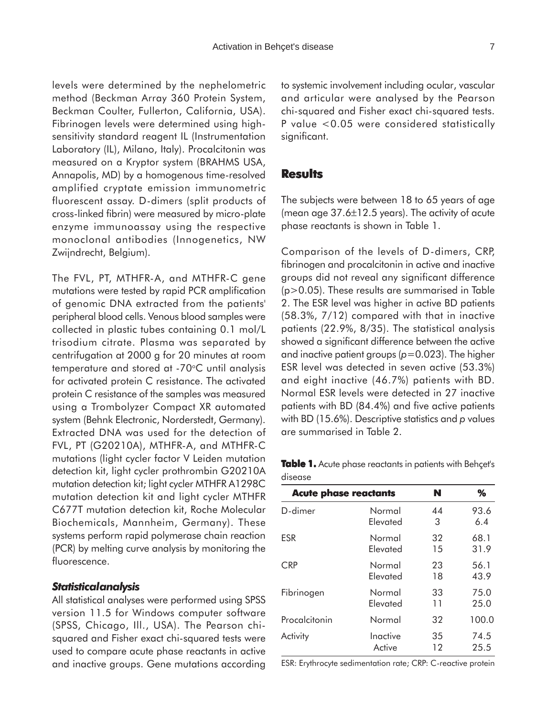levels were determined by the nephelometric method (Beckman Array 360 Protein System, Beckman Coulter, Fullerton, California, USA). Fibrinogen levels were determined using highsensitivity standard reagent IL (Instrumentation Laboratory (IL), Milano, Italy). Procalcitonin was measured on a Kryptor system (BRAHMS USA, Annapolis, MD) by a homogenous time-resolved amplified cryptate emission immunometric fluorescent assay. D-dimers (split products of cross-linked fibrin) were measured by micro-plate enzyme immunoassay using the respective monoclonal antibodies (Innogenetics, NW Zwijndrecht, Belgium).

The FVL, PT, MTHFR-A, and MTHFR-C gene mutations were tested by rapid PCR amplification of genomic DNA extracted from the patients' peripheral blood cells. Venous blood samples were collected in plastic tubes containing 0.1 mol/L trisodium citrate. Plasma was separated by centrifugation at 2000 g for 20 minutes at room temperature and stored at -70°C until analysis for activated protein C resistance. The activated protein C resistance of the samples was measured using a Trombolyzer Compact XR automated system (Behnk Electronic, Norderstedt, Germany). Extracted DNA was used for the detection of FVL, PT (G20210A), MTHFR-A, and MTHFR-C mutations (light cycler factor V Leiden mutation detection kit, light cycler prothrombin G20210A mutation detection kit; light cycler MTHFR A1298C mutation detection kit and light cycler MTHFR C677T mutation detection kit, Roche Molecular Biochemicals, Mannheim, Germany). These systems perform rapid polymerase chain reaction (PCR) by melting curve analysis by monitoring the fluorescence.

#### *Statistical analysis*

All statistical analyses were performed using SPSS version 11.5 for Windows computer software (SPSS, Chicago, Ill., USA). The Pearson chisquared and Fisher exact chi-squared tests were used to compare acute phase reactants in active and inactive groups. Gene mutations according to systemic involvement including ocular, vascular and articular were analysed by the Pearson chi-squared and Fisher exact chi-squared tests. P value <0.05 were considered statistically significant.

#### **Results**

The subjects were between 18 to 65 years of age (mean age  $37.6 \pm 12.5$  years). The activity of acute phase reactants is shown in Table 1.

Comparison of the levels of D-dimers, CRP, fibrinogen and procalcitonin in active and inactive groups did not reveal any significant difference (p>0.05). These results are summarised in Table 2. The ESR level was higher in active BD patients (58.3%, 7/12) compared with that in inactive patients (22.9%, 8/35). The statistical analysis showed a significant difference between the active and inactive patient groups (*p*=0.023). The higher ESR level was detected in seven active (53.3%) and eight inactive (46.7%) patients with BD. Normal ESR levels were detected in 27 inactive patients with BD (84.4%) and five active patients with BD (15.6%). Descriptive statistics and *p* values are summarised in Table 2.

**Table 1.** Acute phase reactants in patients with Behçet's disease

| <b>Acute phase reactants</b> | N        | %  |       |
|------------------------------|----------|----|-------|
| D-dimer                      | Normal   | 44 | 93.6  |
|                              | Elevated | 3  | 6.4   |
| ESR                          | Normal   | 32 | 68.1  |
|                              | Elevated | 15 | 31.9  |
| CRP                          | Normal   | 23 | 56.1  |
|                              | Elevated | 18 | 43.9  |
| Fibrinogen                   | Normal   | 33 | 75.0  |
|                              | Elevated | 11 | 25.0  |
| Procalcitonin                | Normal   | 32 | 100.0 |
| Activity                     | Inactive | 35 | 74.5  |
|                              | Active   | 12 | 25.5  |

ESR: Erythrocyte sedimentation rate; CRP: C-reactive protein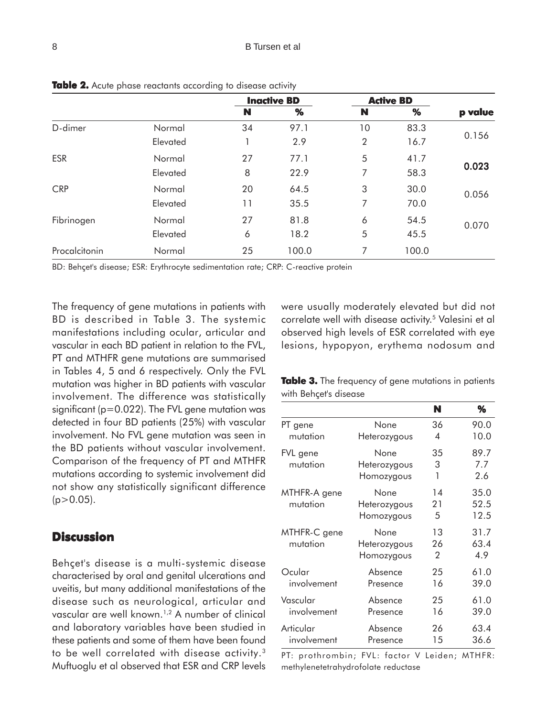|               |          | <b>Inactive BD</b> |       | <b>Active BD</b> |       |         |
|---------------|----------|--------------------|-------|------------------|-------|---------|
|               |          | N                  | %     | N                | %     | p value |
| D-dimer       | Normal   | 34                 | 97.1  | 10               | 83.3  |         |
|               | Elevated |                    | 2.9   | $\overline{2}$   | 16.7  | 0.156   |
| <b>ESR</b>    | Normal   | 27                 | 77.1  | 5                | 41.7  | 0.023   |
|               | Elevated | 8                  | 22.9  | 7                | 58.3  |         |
| <b>CRP</b>    | Normal   | 20                 | 64.5  | 3                | 30.0  | 0.056   |
|               | Elevated | 11                 | 35.5  | 7                | 70.0  |         |
| Fibrinogen    | Normal   | 27                 | 81.8  | 6                | 54.5  | 0.070   |
|               | Elevated | 6                  | 18.2  | 5                | 45.5  |         |
| Procalcitonin | Normal   | 25                 | 100.0 | 7                | 100.0 |         |

**Table 2.** Acute phase reactants according to disease activity

BD: Behçet's disease; ESR: Erythrocyte sedimentation rate; CRP: C-reactive protein

The frequency of gene mutations in patients with BD is described in Table 3. The systemic manifestations including ocular, articular and vascular in each BD patient in relation to the FVL, PT and MTHFR gene mutations are summarised in Tables 4, 5 and 6 respectively. Only the FVL mutation was higher in BD patients with vascular involvement. The difference was statistically significant (p=0.022). The FVL gene mutation was detected in four BD patients (25%) with vascular involvement. No FVL gene mutation was seen in the BD patients without vascular involvement. Comparison of the frequency of PT and MTHFR mutations according to systemic involvement did not show any statistically significant difference  $(p>0.05)$ .

## **Discussion**

Behçet's disease is a multi-systemic disease characterised by oral and genital ulcerations and uveitis, but many additional manifestations of the disease such as neurological, articular and vascular are well known.<sup>1,2</sup> A number of clinical and laboratory variables have been studied in these patients and some of them have been found to be well correlated with disease activity.3 Muftuoglu et al observed that ESR and CRP levels were usually moderately elevated but did not correlate well with disease activity.<sup>5</sup> Valesini et al observed high levels of ESR correlated with eye lesions, hypopyon, erythema nodosum and

**Table 3.** The frequency of gene mutations in patients with Behçet's disease

|                          |                                    | N             | ℅                    |
|--------------------------|------------------------------------|---------------|----------------------|
| PT gene                  | None                               | 36            | 90.0                 |
| mutation                 | Heterozygous                       | 4             | 10.0                 |
| FVL gene<br>mutation     | None<br>Heterozygous<br>Homozygous | 35<br>3<br>1  | 89.7<br>7.7<br>2.6   |
| MTHFR-A gene<br>mutation | None<br>Heterozygous<br>Homozygous | 14<br>21<br>5 | 35.0<br>52.5<br>12.5 |
| MTHFR-C gene<br>mutation | None<br>Heterozygous<br>Homozygous | 13<br>26<br>2 | 31.7<br>63.4<br>4.9  |
| Ocular                   | Absence                            | 25            | 61.0                 |
| involvement              | Presence                           | 16            | 39.0                 |
| Vascular                 | Absence                            | 25            | 61.0                 |
| involvement              | Presence                           | 16            | 39.0                 |
| Articular                | Absence                            | 26            | 63.4                 |
| involvement              | Presence                           | 15            | 36.6                 |

PT: prothrombin; FVL: factor V Leiden; MTHFR: methylenetetrahydrofolate reductase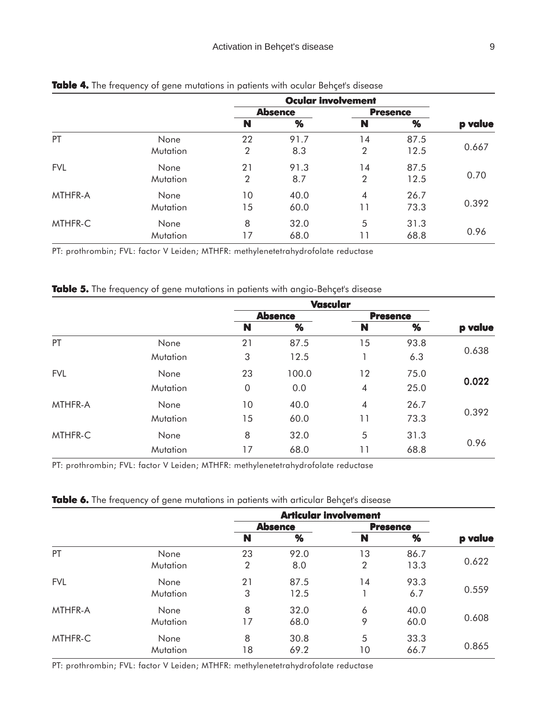|            |          | <b>Ocular involvement</b> |      |                 |      |         |
|------------|----------|---------------------------|------|-----------------|------|---------|
|            |          | <b>Absence</b>            |      | <b>Presence</b> |      |         |
|            |          | N                         | %    | N               | %    | p value |
| PT         | None     | 22                        | 91.7 | 14              | 87.5 |         |
|            | Mutation | $\overline{2}$            | 8.3  | $\overline{2}$  | 12.5 | 0.667   |
| <b>FVL</b> | None     | 21                        | 91.3 | 14              | 87.5 | 0.70    |
|            | Mutation | 2                         | 8.7  | $\overline{2}$  | 12.5 |         |
| MTHFR-A    | None     | 10 <sup>°</sup>           | 40.0 | $\overline{4}$  | 26.7 |         |
|            | Mutation | 15                        | 60.0 | 11              | 73.3 | 0.392   |
| MTHFR-C    | None     | 8                         | 32.0 | 5               | 31.3 |         |
|            | Mutation | 17                        | 68.0 | 11              | 68.8 | 0.96    |

#### **Table 4.** The frequency of gene mutations in patients with ocular Behçet's disease

PT: prothrombin; FVL: factor V Leiden; MTHFR: methylenetetrahydrofolate reductase

#### Table 5. The frequency of gene mutations in patients with angio-Behçet's disease

|            |          | <b>Vascular</b> |       |                 |      |         |
|------------|----------|-----------------|-------|-----------------|------|---------|
|            |          | <b>Absence</b>  |       | <b>Presence</b> |      |         |
|            |          | N               | %     | N               | %    | p value |
| PT         | None     | 21              | 87.5  | 15              | 93.8 |         |
|            | Mutation | 3               | 12.5  |                 | 6.3  | 0.638   |
| <b>FVL</b> | None     | 23              | 100.0 | 12              | 75.0 | 0.022   |
|            | Mutation | $\mathbf 0$     | 0.0   | $\overline{4}$  | 25.0 |         |
| MTHFR-A    | None     | 10 <sup>°</sup> | 40.0  | $\overline{4}$  | 26.7 | 0.392   |
|            | Mutation | 15              | 60.0  | 11              | 73.3 |         |
| MTHFR-C    | None     | 8               | 32.0  | 5               | 31.3 |         |
|            | Mutation | 17              | 68.0  | 11              | 68.8 | 0.96    |

PT: prothrombin; FVL: factor V Leiden; MTHFR: methylenetetrahydrofolate reductase

#### Table 6. The frequency of gene mutations in patients with articular Behçet's disease

|            |          | <b>Articular involvement</b> |      |                 |      |         |
|------------|----------|------------------------------|------|-----------------|------|---------|
|            |          | <b>Absence</b>               |      | <b>Presence</b> |      |         |
|            |          | N                            | %    | N               | $\%$ | p value |
| PT         | None     | 23                           | 92.0 | 13              | 86.7 |         |
|            | Mutation | 2                            | 8.0  | $\overline{2}$  | 13.3 | 0.622   |
| <b>FVL</b> | None     | 21                           | 87.5 | 14              | 93.3 | 0.559   |
|            | Mutation | 3                            | 12.5 |                 | 6.7  |         |
| MTHFR-A    | None     | 8                            | 32.0 | 6               | 40.0 | 0.608   |
|            | Mutation | 17                           | 68.0 | 9               | 60.0 |         |
| MTHFR-C    | None     | 8                            | 30.8 | 5               | 33.3 |         |
|            | Mutation | 18                           | 69.2 | 10              | 66.7 | 0.865   |

PT: prothrombin; FVL: factor V Leiden; MTHFR: methylenetetrahydrofolate reductase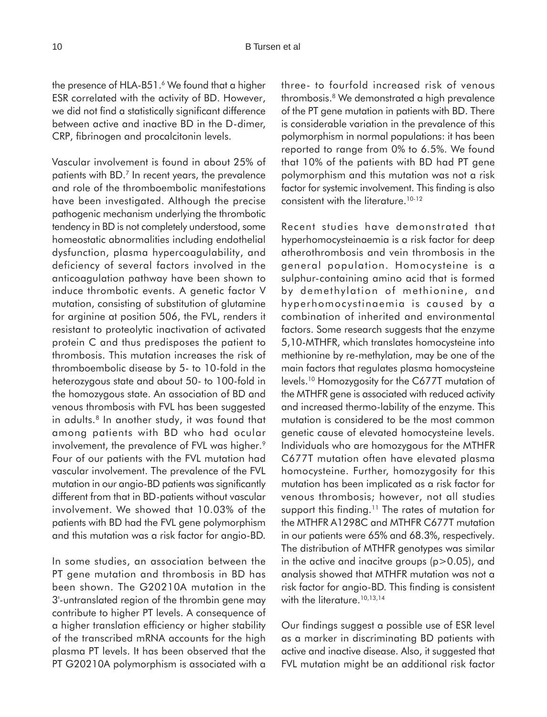the presence of HLA-B51.<sup>6</sup> We found that a higher ESR correlated with the activity of BD. However, we did not find a statistically significant difference between active and inactive BD in the D-dimer, CRP, fibrinogen and procalcitonin levels.

Vascular involvement is found in about 25% of patients with BD.7 In recent years, the prevalence and role of the thromboembolic manifestations have been investigated. Although the precise pathogenic mechanism underlying the thrombotic tendency in BD is not completely understood, some homeostatic abnormalities including endothelial dysfunction, plasma hypercoagulability, and deficiency of several factors involved in the anticoagulation pathway have been shown to induce thrombotic events. A genetic factor V mutation, consisting of substitution of glutamine for arginine at position 506, the FVL, renders it resistant to proteolytic inactivation of activated protein C and thus predisposes the patient to thrombosis. This mutation increases the risk of thromboembolic disease by 5- to 10-fold in the heterozygous state and about 50- to 100-fold in the homozygous state. An association of BD and venous thrombosis with FVL has been suggested in adults.<sup>8</sup> In another study, it was found that among patients with BD who had ocular involvement, the prevalence of FVL was higher.<sup>9</sup> Four of our patients with the FVL mutation had vascular involvement. The prevalence of the FVL mutation in our angio-BD patients was significantly different from that in BD-patients without vascular involvement. We showed that 10.03% of the patients with BD had the FVL gene polymorphism and this mutation was a risk factor for angio-BD.

In some studies, an association between the PT gene mutation and thrombosis in BD has been shown. The G20210A mutation in the 3'-untranslated region of the thrombin gene may contribute to higher PT levels. A consequence of a higher translation efficiency or higher stability of the transcribed mRNA accounts for the high plasma PT levels. It has been observed that the PT G20210A polymorphism is associated with a three- to fourfold increased risk of venous thrombosis.8 We demonstrated a high prevalence of the PT gene mutation in patients with BD. There is considerable variation in the prevalence of this polymorphism in normal populations: it has been reported to range from 0% to 6.5%. We found that 10% of the patients with BD had PT gene polymorphism and this mutation was not a risk factor for systemic involvement. This finding is also consistent with the literature.<sup>10-12</sup>

Recent studies have demonstrated that hyperhomocysteinaemia is a risk factor for deep atherothrombosis and vein thrombosis in the general population. Homocysteine is a sulphur-containing amino acid that is formed by demethylation of methionine, and hyperhomocystinaemia is caused by a combination of inherited and environmental factors. Some research suggests that the enzyme 5,10-MTHFR, which translates homocysteine into methionine by re-methylation, may be one of the main factors that regulates plasma homocysteine levels.10 Homozygosity for the C677T mutation of the MTHFR gene is associated with reduced activity and increased thermo-lability of the enzyme. This mutation is considered to be the most common genetic cause of elevated homocysteine levels. Individuals who are homozygous for the MTHFR C677T mutation often have elevated plasma homocysteine. Further, homozygosity for this mutation has been implicated as a risk factor for venous thrombosis; however, not all studies support this finding.<sup>11</sup> The rates of mutation for the MTHFR A1298C and MTHFR C677T mutation in our patients were 65% and 68.3%, respectively. The distribution of MTHFR genotypes was similar in the active and inacitve groups  $(p>0.05)$ , and analysis showed that MTHFR mutation was not a risk factor for angio-BD. This finding is consistent with the literature.<sup>10,13,14</sup>

Our findings suggest a possible use of ESR level as a marker in discriminating BD patients with active and inactive disease. Also, it suggested that FVL mutation might be an additional risk factor